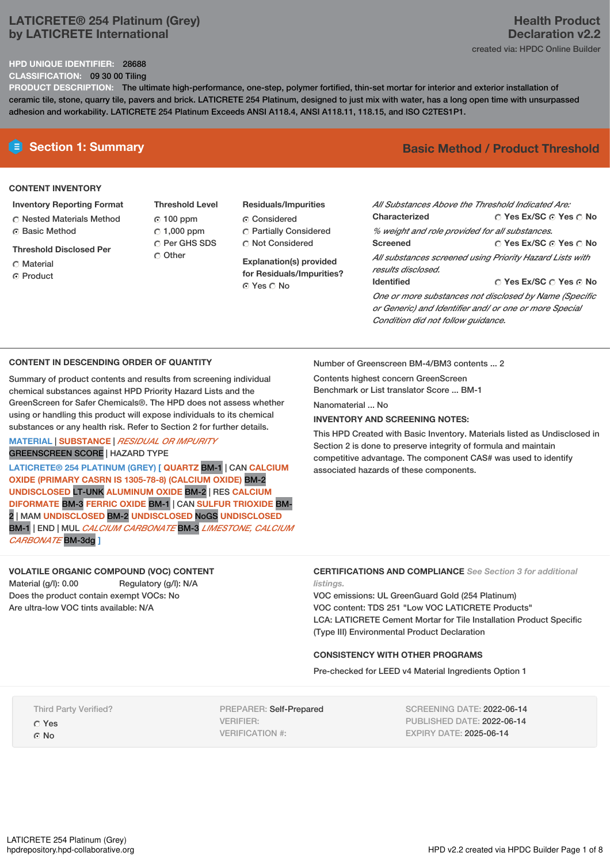## **LATICRETE® 254 Platinum (Grey) by LATICRETE International**

### **HPD UNIQUE IDENTIFIER:** 28688

**CLASSIFICATION:** 09 30 00 Tiling

**PRODUCT DESCRIPTION:** The ultimate high-performance, one-step, polymer fortified, thin-set mortar for interior and exterior installation of ceramic tile, stone, quarry tile, pavers and brick. LATICRETE 254 Platinum, designed to just mix with water, has a long open time with unsurpassed adhesion and workability. LATICRETE 254 Platinum Exceeds ANSI A118.4, ANSI A118.11, 118.15, and ISO C2TES1P1.

### **CONTENT INVENTORY**

### **Inventory Reporting Format**

- Nested Materials Method Basic Method
- **Threshold Disclosed Per**
- Material
- ⊙ Product
- **Threshold Level** 100 ppm  $C$  1,000 ppm O Per GHS SDS C Other
- **Residuals/Impurities** Considered Partially Considered Not Considered

**Explanation(s) provided for Residuals/Impurities?** ⊙ Yes O No

# **E** Section 1: Summary **Basic** Method **/** Product Threshold

| All Substances Above the Threshold Indicated Are:                                                                |                                       |  |  |
|------------------------------------------------------------------------------------------------------------------|---------------------------------------|--|--|
| <b>Characterized</b>                                                                                             | $\cap$ Yes Ex/SC $\cap$ Yes $\cap$ No |  |  |
| % weight and role provided for all substances.                                                                   |                                       |  |  |
| <b>Screened</b>                                                                                                  | ○ Yes Ex/SC ⊙ Yes ○ No                |  |  |
| All substances screened using Priority Hazard Lists with<br>results disclosed.                                   |                                       |  |  |
| <b>Identified</b>                                                                                                | $\cap$ Yes Ex/SC $\cap$ Yes $\cap$ No |  |  |
| One or more substances not disclosed by Name (Specific<br>or Generic) and Identifier and/ or one or more Special |                                       |  |  |

**CONTENT IN DESCENDING ORDER OF QUANTITY**

Summary of product contents and results from screening individual chemical substances against HPD Priority Hazard Lists and the GreenScreen for Safer Chemicals®. The HPD does not assess whether using or handling this product will expose individuals to its chemical substances or any health risk. Refer to Section 2 for further details.

### **MATERIAL** | **SUBSTANCE** | *RESIDUAL OR IMPURITY* GREENSCREEN SCORE | HAZARD TYPE

**LATICRETE® 254 PLATINUM (GREY) [ QUARTZ** BM-1 | CAN **CALCIUM OXIDE (PRIMARY CASRN IS 1305-78-8) (CALCIUM OXIDE)** BM-2 **UNDISCLOSED** LT-UNK **ALUMINUM OXIDE** BM-2 | RES **CALCIUM DIFORMATE** BM-3 **FERRIC OXIDE** BM-1 | CAN **SULFUR TRIOXIDE** BM-2 | MAM **UNDISCLOSED** BM-2 **UNDISCLOSED** NoGS **UNDISCLOSED** BM-1 | END | MUL *CALCIUM CARBONATE* BM-3 *LIMESTONE, CALCIUM CARBONATE* BM-3dg **]**

**VOLATILE ORGANIC COMPOUND (VOC) CONTENT**

Material (g/l): 0.00 Regulatory (g/l): N/A Does the product contain exempt VOCs: No Are ultra-low VOC tints available: N/A

Number of Greenscreen BM-4/BM3 contents ... 2

*Condition did not follow guidance.*

Contents highest concern GreenScreen Benchmark or List translator Score ... BM-1

Nanomaterial No.

### **INVENTORY AND SCREENING NOTES:**

This HPD Created with Basic Inventory. Materials listed as Undisclosed in Section 2 is done to preserve integrity of formula and maintain competitive advantage. The component CAS# was used to identify associated hazards of these components.

### **CERTIFICATIONS AND COMPLIANCE** *See Section 3 for additional listings.*

VOC emissions: UL GreenGuard Gold (254 Platinum) VOC content: TDS 251 "Low VOC LATICRETE Products" LCA: LATICRETE Cement Mortar for Tile Installation Product Specific (Type III) Environmental Product Declaration

## **CONSISTENCY WITH OTHER PROGRAMS**

Pre-checked for LEED v4 Material Ingredients Option 1

Third Party Verified? Yes

G No

PREPARER: Self-Prepared VERIFIER: VERIFICATION #:

SCREENING DATE: 2022-06-14 PUBLISHED DATE: 2022-06-14 EXPIRY DATE: 2025-06-14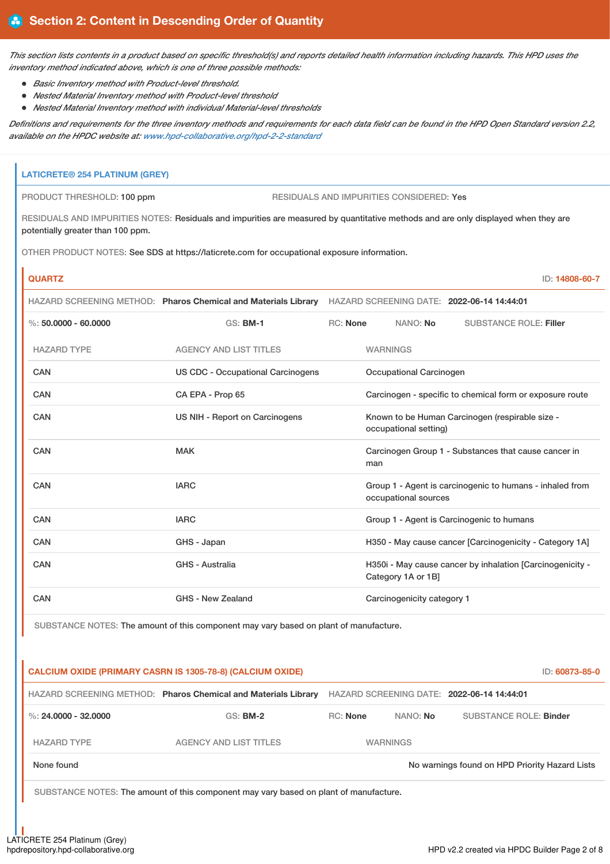This section lists contents in a product based on specific threshold(s) and reports detailed health information including hazards. This HPD uses the *inventory method indicated above, which is one of three possible methods:*

- *Basic Inventory method with Product-level threshold.*
- *Nested Material Inventory method with Product-level threshold*
- *Nested Material Inventory method with individual Material-level thresholds*

Definitions and requirements for the three inventory methods and requirements for each data field can be found in the HPD Open Standard version 2.2, *available on the HPDC website at: [www.hpd-collaborative.org/hpd-2-2-standard](https://www.hpd-collaborative.org/hpd-2-2-standard)*

## **LATICRETE® 254 PLATINUM (GREY)**

PRODUCT THRESHOLD: 100 ppm RESIDUALS AND IMPURITIES CONSIDERED: Yes

RESIDUALS AND IMPURITIES NOTES: Residuals and impurities are measured by quantitative methods and are only displayed when they are potentially greater than 100 ppm.

OTHER PRODUCT NOTES: See SDS at https://laticrete.com for occupational exposure information.

# **QUARTZ** ID: **14808-60-7** HAZARD SCREENING METHOD: **Pharos Chemical and Materials Library** HAZARD SCREENING DATE: **2022-06-14 14:44:01**

| $\%$ : 50,0000 - 60,0000 | <b>GS: BM-1</b>                   | RC: None                                                                 |                         | NANO: No                   | <b>SUBSTANCE ROLE: Filler</b>                             |
|--------------------------|-----------------------------------|--------------------------------------------------------------------------|-------------------------|----------------------------|-----------------------------------------------------------|
| <b>HAZARD TYPE</b>       | <b>AGENCY AND LIST TITLES</b>     |                                                                          | <b>WARNINGS</b>         |                            |                                                           |
| <b>CAN</b>               | US CDC - Occupational Carcinogens |                                                                          | Occupational Carcinogen |                            |                                                           |
| CAN                      | CA EPA - Prop 65                  | Carcinogen - specific to chemical form or exposure route                 |                         |                            |                                                           |
| CAN                      | US NIH - Report on Carcinogens    | Known to be Human Carcinogen (respirable size -<br>occupational setting) |                         |                            |                                                           |
| CAN                      | <b>MAK</b>                        |                                                                          | man                     |                            | Carcinogen Group 1 - Substances that cause cancer in      |
| CAN                      | <b>IARC</b>                       |                                                                          |                         | occupational sources       | Group 1 - Agent is carcinogenic to humans - inhaled from  |
| <b>CAN</b>               | <b>IARC</b>                       |                                                                          |                         |                            | Group 1 - Agent is Carcinogenic to humans                 |
| CAN                      | GHS - Japan                       |                                                                          |                         |                            | H350 - May cause cancer [Carcinogenicity - Category 1A]   |
| CAN                      | <b>GHS - Australia</b>            |                                                                          |                         | Category 1A or 1B]         | H350i - May cause cancer by inhalation [Carcinogenicity - |
| <b>CAN</b>               | GHS - New Zealand                 |                                                                          |                         | Carcinogenicity category 1 |                                                           |

SUBSTANCE NOTES: The amount of this component may vary based on plant of manufacture.

# **CALCIUM OXIDE (PRIMARY CASRN IS 1305-78-8) (CALCIUM OXIDE)** ID: **60873-85-0** HAZARD SCREENING METHOD: **Pharos Chemical and Materials Library** HAZARD SCREENING DATE: **2022-06-14 14:44:01** %: **24.0000 - 32.0000** GS: **BM-2** RC: **None** NANO: **No** SUBSTANCE ROLE: **Binder** HAZARD TYPE THE AGENCY AND LIST TITLES THE MARNINGS

None found Now arrings found on HPD Priority Hazard Lists

SUBSTANCE NOTES: The amount of this component may vary based on plant of manufacture.

LATICRETE 254 Platinum (Grey)<br>hpdrepository.hpd-collaborative.org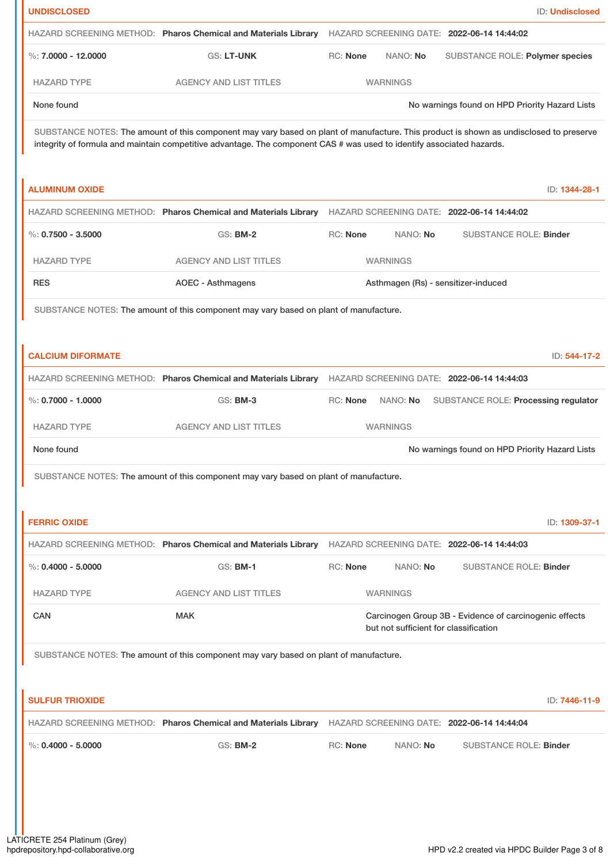| <b>UNDISCLOSED</b>       |                                                                                                                                                                                                                                                                 |                 |                                       | <b>ID: Undisclosed</b>                                 |  |
|--------------------------|-----------------------------------------------------------------------------------------------------------------------------------------------------------------------------------------------------------------------------------------------------------------|-----------------|---------------------------------------|--------------------------------------------------------|--|
|                          | HAZARD SCREENING METHOD: Pharos Chemical and Materials Library                                                                                                                                                                                                  |                 |                                       | HAZARD SCREENING DATE: 2022-06-14 14:44:02             |  |
| %: $7.0000 - 12.0000$    | GS: LT-UNK                                                                                                                                                                                                                                                      | RC: None        | NANO: No                              | SUBSTANCE ROLE: Polymer species                        |  |
| <b>HAZARD TYPE</b>       | <b>AGENCY AND LIST TITLES</b>                                                                                                                                                                                                                                   |                 | <b>WARNINGS</b>                       |                                                        |  |
| None found               |                                                                                                                                                                                                                                                                 |                 |                                       | No warnings found on HPD Priority Hazard Lists         |  |
|                          | SUBSTANCE NOTES: The amount of this component may vary based on plant of manufacture. This product is shown as undisclosed to preserve<br>integrity of formula and maintain competitive advantage. The component CAS # was used to identify associated hazards. |                 |                                       |                                                        |  |
| <b>ALUMINUM OXIDE</b>    |                                                                                                                                                                                                                                                                 |                 |                                       | ID: 1344-28-1                                          |  |
|                          | HAZARD SCREENING METHOD: Pharos Chemical and Materials Library                                                                                                                                                                                                  |                 |                                       | HAZARD SCREENING DATE: 2022-06-14 14:44:02             |  |
| $\%$ : 0.7500 - 3.5000   | <b>GS: BM-2</b>                                                                                                                                                                                                                                                 | <b>RC: None</b> | NANO: No                              | <b>SUBSTANCE ROLE: Binder</b>                          |  |
| <b>HAZARD TYPE</b>       | <b>AGENCY AND LIST TITLES</b>                                                                                                                                                                                                                                   |                 | <b>WARNINGS</b>                       |                                                        |  |
| <b>RES</b>               | <b>AOEC - Asthmagens</b>                                                                                                                                                                                                                                        |                 |                                       | Asthmagen (Rs) - sensitizer-induced                    |  |
|                          | SUBSTANCE NOTES: The amount of this component may vary based on plant of manufacture.                                                                                                                                                                           |                 |                                       |                                                        |  |
|                          |                                                                                                                                                                                                                                                                 |                 |                                       |                                                        |  |
| <b>CALCIUM DIFORMATE</b> |                                                                                                                                                                                                                                                                 |                 |                                       | ID: 544-17-2                                           |  |
|                          | HAZARD SCREENING METHOD: Pharos Chemical and Materials Library                                                                                                                                                                                                  |                 |                                       | HAZARD SCREENING DATE: 2022-06-14 14:44:03             |  |
| %: $0.7000 - 1.0000$     | <b>GS: BM-3</b>                                                                                                                                                                                                                                                 | RC: None        | NANO: No                              | SUBSTANCE ROLE: Processing regulator                   |  |
| <b>HAZARD TYPE</b>       | <b>AGENCY AND LIST TITLES</b>                                                                                                                                                                                                                                   |                 | <b>WARNINGS</b>                       |                                                        |  |
| None found               |                                                                                                                                                                                                                                                                 |                 |                                       | No warnings found on HPD Priority Hazard Lists         |  |
|                          | SUBSTANCE NOTES: The amount of this component may vary based on plant of manufacture.                                                                                                                                                                           |                 |                                       |                                                        |  |
|                          |                                                                                                                                                                                                                                                                 |                 |                                       |                                                        |  |
| <b>FERRIC OXIDE</b>      |                                                                                                                                                                                                                                                                 |                 |                                       | ID: 1309-37-1                                          |  |
|                          | HAZARD SCREENING METHOD: Pharos Chemical and Materials Library HAZARD SCREENING DATE: 2022-06-14 14:44:03                                                                                                                                                       |                 |                                       |                                                        |  |
| %: $0.4000 - 5.0000$     | <b>GS: BM-1</b>                                                                                                                                                                                                                                                 | <b>RC: None</b> | NANO: No                              | <b>SUBSTANCE ROLE: Binder</b>                          |  |
| <b>HAZARD TYPE</b>       | <b>AGENCY AND LIST TITLES</b>                                                                                                                                                                                                                                   |                 | <b>WARNINGS</b>                       |                                                        |  |
| <b>CAN</b>               | <b>MAK</b>                                                                                                                                                                                                                                                      |                 | but not sufficient for classification | Carcinogen Group 3B - Evidence of carcinogenic effects |  |
|                          | SUBSTANCE NOTES: The amount of this component may vary based on plant of manufacture.                                                                                                                                                                           |                 |                                       |                                                        |  |
|                          |                                                                                                                                                                                                                                                                 |                 |                                       |                                                        |  |
| <b>SULFUR TRIOXIDE</b>   |                                                                                                                                                                                                                                                                 |                 |                                       | ID: 7446-11-9                                          |  |
|                          | HAZARD SCREENING METHOD: Pharos Chemical and Materials Library HAZARD SCREENING DATE: 2022-06-14 14:44:04                                                                                                                                                       |                 |                                       |                                                        |  |
| %: $0.4000 - 5.0000$     | <b>GS: BM-2</b>                                                                                                                                                                                                                                                 | RC: None        | NANO: No                              | <b>SUBSTANCE ROLE: Binder</b>                          |  |
|                          |                                                                                                                                                                                                                                                                 |                 |                                       |                                                        |  |
|                          |                                                                                                                                                                                                                                                                 |                 |                                       |                                                        |  |
|                          |                                                                                                                                                                                                                                                                 |                 |                                       |                                                        |  |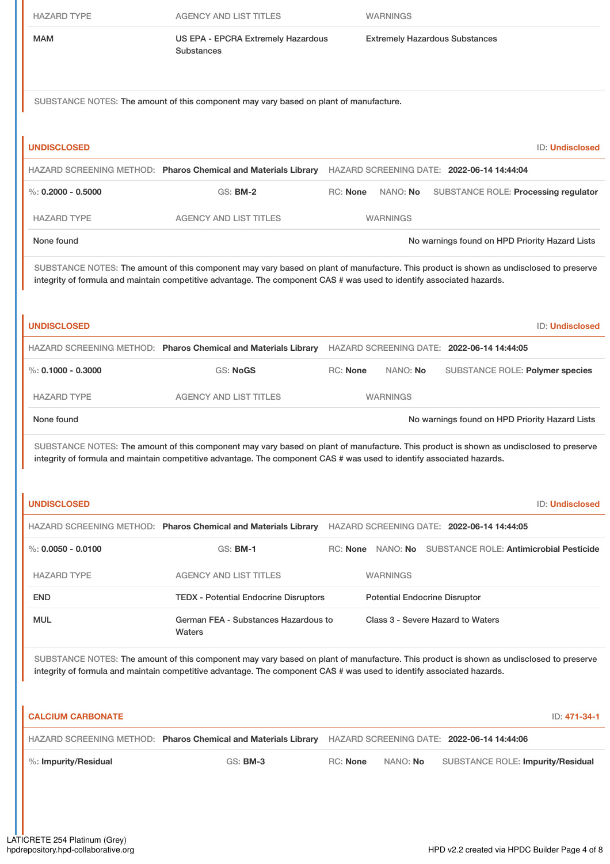| <b>HAZARD TYPE</b>       | <b>AGENCY AND LIST TITLES</b>                                                         | <b>WARNINGS</b>                                                                                                                                                                                                                                                 |
|--------------------------|---------------------------------------------------------------------------------------|-----------------------------------------------------------------------------------------------------------------------------------------------------------------------------------------------------------------------------------------------------------------|
| <b>MAM</b>               | US EPA - EPCRA Extremely Hazardous<br><b>Substances</b>                               | <b>Extremely Hazardous Substances</b>                                                                                                                                                                                                                           |
|                          | SUBSTANCE NOTES: The amount of this component may vary based on plant of manufacture. |                                                                                                                                                                                                                                                                 |
|                          |                                                                                       |                                                                                                                                                                                                                                                                 |
| <b>UNDISCLOSED</b>       |                                                                                       | ID: Undisclosed                                                                                                                                                                                                                                                 |
| %: $0.2000 - 0.5000$     | <b>GS: BM-2</b>                                                                       | HAZARD SCREENING METHOD: Pharos Chemical and Materials Library HAZARD SCREENING DATE: 2022-06-14 14:44:04<br>RC: None<br>NANO: No<br>SUBSTANCE ROLE: Processing regulator                                                                                       |
|                          |                                                                                       |                                                                                                                                                                                                                                                                 |
| <b>HAZARD TYPE</b>       | <b>AGENCY AND LIST TITLES</b>                                                         | <b>WARNINGS</b>                                                                                                                                                                                                                                                 |
| None found               |                                                                                       | No warnings found on HPD Priority Hazard Lists                                                                                                                                                                                                                  |
|                          |                                                                                       | SUBSTANCE NOTES: The amount of this component may vary based on plant of manufacture. This product is shown as undisclosed to preserve<br>integrity of formula and maintain competitive advantage. The component CAS # was used to identify associated hazards. |
| <b>UNDISCLOSED</b>       |                                                                                       | <b>ID: Undisclosed</b>                                                                                                                                                                                                                                          |
|                          |                                                                                       | HAZARD SCREENING METHOD: Pharos Chemical and Materials Library HAZARD SCREENING DATE: 2022-06-14 14:44:05                                                                                                                                                       |
| $\%$ : 0.1000 - 0.3000   | <b>GS: NoGS</b>                                                                       | <b>RC: None</b><br>NANO: No<br>SUBSTANCE ROLE: Polymer species                                                                                                                                                                                                  |
| <b>HAZARD TYPE</b>       | <b>AGENCY AND LIST TITLES</b>                                                         | <b>WARNINGS</b>                                                                                                                                                                                                                                                 |
| None found               |                                                                                       | No warnings found on HPD Priority Hazard Lists                                                                                                                                                                                                                  |
|                          |                                                                                       | SUBSTANCE NOTES: The amount of this component may vary based on plant of manufacture. This product is shown as undisclosed to preserve<br>integrity of formula and maintain competitive advantage. The component CAS # was used to identify associated hazards. |
| <b>UNDISCLOSED</b>       |                                                                                       | <b>ID: Undisclosed</b>                                                                                                                                                                                                                                          |
|                          |                                                                                       | HAZARD SCREENING METHOD: Pharos Chemical and Materials Library HAZARD SCREENING DATE: 2022-06-14 14:44:05                                                                                                                                                       |
| $\%: 0.0050 - 0.0100$    | <b>GS: BM-1</b>                                                                       | RC: None NANO: No SUBSTANCE ROLE: Antimicrobial Pesticide                                                                                                                                                                                                       |
| <b>HAZARD TYPE</b>       | <b>AGENCY AND LIST TITLES</b>                                                         | <b>WARNINGS</b>                                                                                                                                                                                                                                                 |
| <b>END</b>               | <b>TEDX - Potential Endocrine Disruptors</b>                                          | <b>Potential Endocrine Disruptor</b>                                                                                                                                                                                                                            |
| <b>MUL</b>               | German FEA - Substances Hazardous to<br>Waters                                        | Class 3 - Severe Hazard to Waters                                                                                                                                                                                                                               |
|                          |                                                                                       | SUBSTANCE NOTES: The amount of this component may vary based on plant of manufacture. This product is shown as undisclosed to preserve<br>integrity of formula and maintain competitive advantage. The component CAS # was used to identify associated hazards. |
| <b>CALCIUM CARBONATE</b> |                                                                                       | ID: 471-34-1                                                                                                                                                                                                                                                    |
|                          |                                                                                       | HAZARD SCREENING METHOD: Pharos Chemical and Materials Library HAZARD SCREENING DATE: 2022-06-14 14:44:06                                                                                                                                                       |
| %: Impurity/Residual     | <b>GS: BM-3</b>                                                                       | RC: None<br>NANO: No<br>SUBSTANCE ROLE: Impurity/Residual                                                                                                                                                                                                       |
|                          |                                                                                       |                                                                                                                                                                                                                                                                 |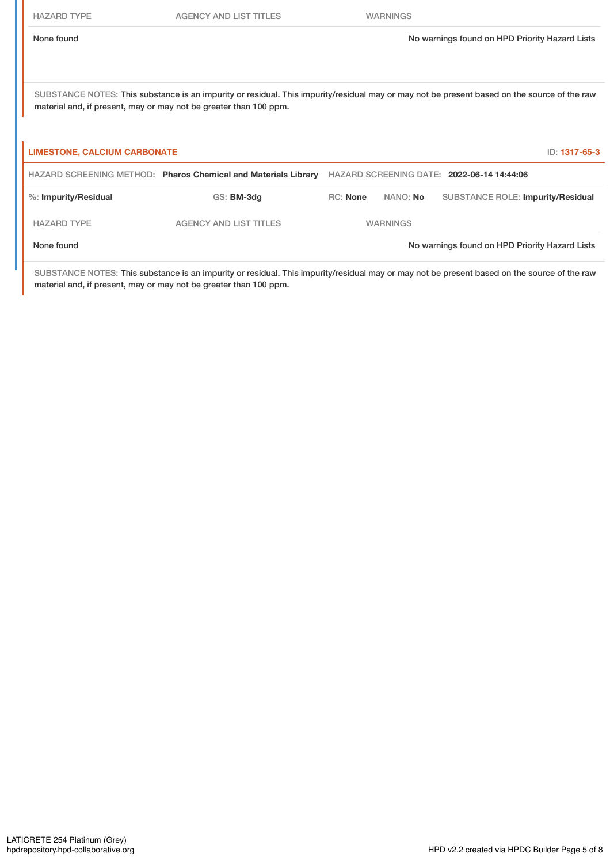AGENCY AND LIST TITLES WARNINGS

SUBSTANCE NOTES: This substance is an impurity or residual. This impurity/residual may or may not be present based on the source of the raw material and, if present, may or may not be greater than 100 ppm.

| <b>LIMESTONE, CALCIUM CARBONATE</b> |                                                                |                 |          | ID: 1317-65-3                                  |
|-------------------------------------|----------------------------------------------------------------|-----------------|----------|------------------------------------------------|
|                                     | HAZARD SCREENING METHOD: Pharos Chemical and Materials Library |                 |          | HAZARD SCREENING DATE: 2022-06-14 14:44:06     |
| %: Impurity/Residual                | GS: BM-3dg                                                     | RC: None        | NANO: No | <b>SUBSTANCE ROLE: Impurity/Residual</b>       |
| <b>HAZARD TYPE</b>                  | <b>AGENCY AND LIST TITLES</b>                                  | <b>WARNINGS</b> |          |                                                |
| None found                          |                                                                |                 |          | No warnings found on HPD Priority Hazard Lists |

SUBSTANCE NOTES: This substance is an impurity or residual. This impurity/residual may or may not be present based on the source of the raw material and, if present, may or may not be greater than 100 ppm.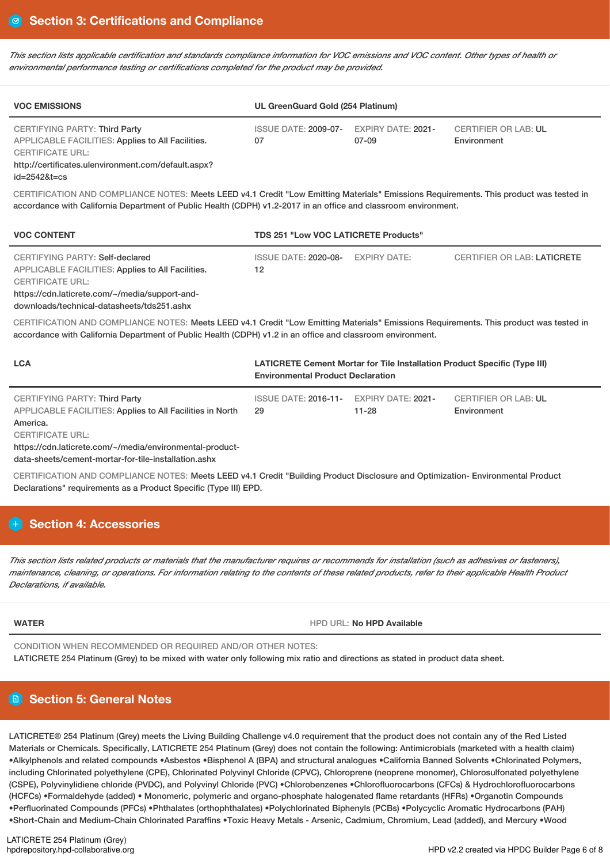This section lists applicable certification and standards compliance information for VOC emissions and VOC content. Other types of health or *environmental performance testing or certifications completed for the product may be provided.*

| <b>VOC EMISSIONS</b>                                                                                                                                                                              | UL GreenGuard Gold (254 Platinum)             |       |                                            |  |  |
|---------------------------------------------------------------------------------------------------------------------------------------------------------------------------------------------------|-----------------------------------------------|-------|--------------------------------------------|--|--|
| <b>CERTIFYING PARTY: Third Party</b><br>APPLICABLE FACILITIES: Applies to All Facilities.<br><b>CERTIFICATE URL:</b><br>http://certificates.ulenvironment.com/default.aspx?<br>$id = 25428t = cs$ | ISSUE DATE: 2009-07- EXPIRY DATE: 2021-<br>07 | 07-09 | <b>CERTIFIER OR LAB: UL</b><br>Environment |  |  |

CERTIFICATION AND COMPLIANCE NOTES: Meets LEED v4.1 Credit "Low Emitting Materials" Emissions Requirements. This product was tested in accordance with California Department of Public Health (CDPH) v1.2-2017 in an office and classroom environment.

| <b>VOC CONTENT</b>                                                                                                                                                                                                     | <b>TDS 251 "Low VOC LATICRETE Products"</b> |              |                                    |  |
|------------------------------------------------------------------------------------------------------------------------------------------------------------------------------------------------------------------------|---------------------------------------------|--------------|------------------------------------|--|
| CERTIFYING PARTY: Self-declared<br><b>APPLICABLE FACILITIES: Applies to All Facilities.</b><br><b>CERTIFICATE URL:</b><br>https://cdn.laticrete.com/~/media/support-and-<br>downloads/technical-datasheets/tds251.ashx | <b>ISSUE DATE: 2020-08-</b><br>12           | EXPIRY DATE: | <b>CERTIFIER OR LAB: LATICRETE</b> |  |
| CERTIFICATION AND COMPLIANCE NOTES: Meets LEED v4.1 Credit "Low Emitting Materials" Emissions Requirements. This product was tested in                                                                                 |                                             |              |                                    |  |

accordance with California Department of Public Health (CDPH) v1.2 in an office and classroom environment.

| <b>LCA</b>                                                                                 | <b>LATICRETE Cement Mortar for Tile Installation Product Specific (Type III)</b><br><b>Environmental Product Declaration</b> |           |                                            |  |
|--------------------------------------------------------------------------------------------|------------------------------------------------------------------------------------------------------------------------------|-----------|--------------------------------------------|--|
| CERTIFYING PARTY: Third Party<br>APPLICABLE FACILITIES: Applies to All Facilities in North | ISSUE DATE: 2016-11- EXPIRY DATE: 2021-<br>29                                                                                | $11 - 28$ | <b>CERTIFIER OR LAB: UL</b><br>Environment |  |
| America.                                                                                   |                                                                                                                              |           |                                            |  |
| <b>CERTIFICATE URL:</b>                                                                    |                                                                                                                              |           |                                            |  |
|                                                                                            |                                                                                                                              |           |                                            |  |

https://cdn.laticrete.com/~/media/environmental-product-

data-sheets/cement-mortar-for-tile-installation.ashx

CERTIFICATION AND COMPLIANCE NOTES: Meets LEED v4.1 Credit "Building Product Disclosure and Optimization- Environmental Product Declarations" requirements as a Product Specific (Type III) EPD.

# **Section 4: Accessories**

This section lists related products or materials that the manufacturer requires or recommends for installation (such as adhesives or fasteners), maintenance, cleaning, or operations. For information relating to the contents of these related products, refer to their applicable Health Product *Declarations, if available.*

**WATER** HPD URL: **No HPD Available**

CONDITION WHEN RECOMMENDED OR REQUIRED AND/OR OTHER NOTES:

LATICRETE 254 Platinum (Grey) to be mixed with water only following mix ratio and directions as stated in product data sheet.

# **Section 5: General Notes**

LATICRETE® 254 Platinum (Grey) meets the Living Building Challenge v4.0 requirement that the product does not contain any of the Red Listed Materials or Chemicals. Specifically, LATICRETE 254 Platinum (Grey) does not contain the following: Antimicrobials (marketed with a health claim) •Alkylphenols and related compounds •Asbestos •Bisphenol A (BPA) and structural analogues •California Banned Solvents •Chlorinated Polymers, including Chlorinated polyethylene (CPE), Chlorinated Polyvinyl Chloride (CPVC), Chloroprene (neoprene monomer), Chlorosulfonated polyethylene (CSPE), Polyvinylidiene chloride (PVDC), and Polyvinyl Chloride (PVC) •Chlorobenzenes •Chlorofluorocarbons (CFCs) & Hydrochlorofluorocarbons (HCFCs) •Formaldehyde (added) • Monomeric, polymeric and organo-phosphate halogenated flame retardants (HFRs) •Organotin Compounds •Perfluorinated Compounds (PFCs) •Phthalates (orthophthalates) •Polychlorinated Biphenyls (PCBs) •Polycyclic Aromatic Hydrocarbons (PAH) •Short-Chain and Medium-Chain Chlorinated Paraffins •Toxic Heavy Metals - Arsenic, Cadmium, Chromium, Lead (added), and Mercury •Wood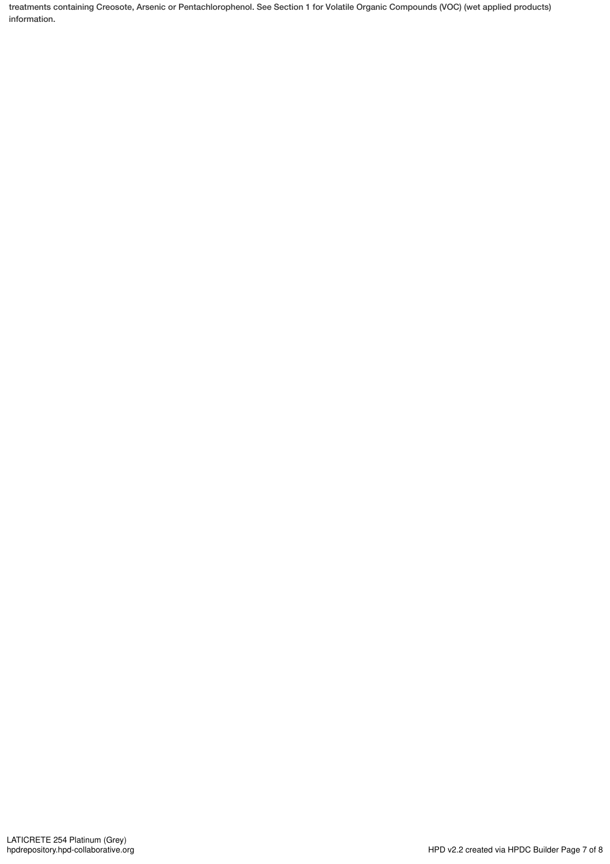treatments containing Creosote, Arsenic or Pentachlorophenol. See Section 1 for Volatile Organic Compounds (VOC) (wet applied products) information.